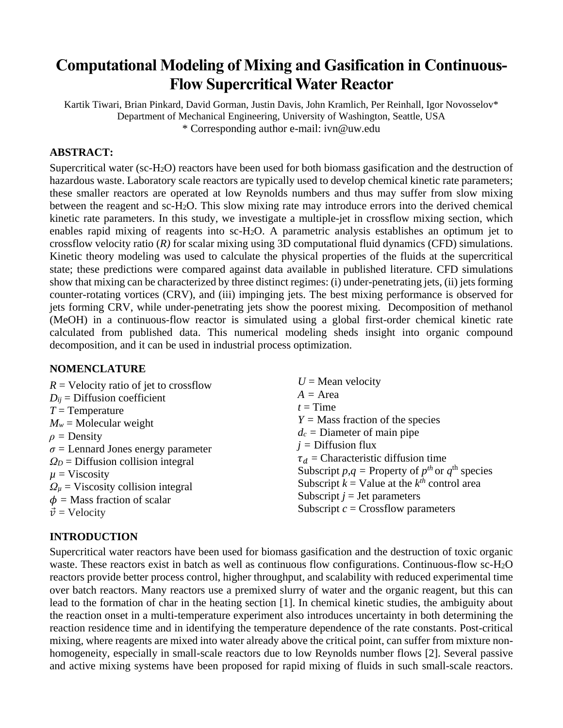# **Computational Modeling of Mixing and Gasification in Continuous-Flow Supercritical Water Reactor**

Kartik Tiwari, Brian Pinkard, David Gorman, Justin Davis, John Kramlich, Per Reinhall, Igor Novosselov\* Department of Mechanical Engineering, University of Washington, Seattle, USA \* Corresponding author e-mail: ivn@uw.edu

# **ABSTRACT:**

Supercritical water (sc-H2O) reactors have been used for both biomass gasification and the destruction of hazardous waste. Laboratory scale reactors are typically used to develop chemical kinetic rate parameters; these smaller reactors are operated at low Reynolds numbers and thus may suffer from slow mixing between the reagent and sc-H2O. This slow mixing rate may introduce errors into the derived chemical kinetic rate parameters. In this study, we investigate a multiple-jet in crossflow mixing section, which enables rapid mixing of reagents into sc-H2O. A parametric analysis establishes an optimum jet to crossflow velocity ratio (*R)* for scalar mixing using 3D computational fluid dynamics (CFD) simulations. Kinetic theory modeling was used to calculate the physical properties of the fluids at the supercritical state; these predictions were compared against data available in published literature. CFD simulations show that mixing can be characterized by three distinct regimes: (i) under-penetrating jets, (ii) jets forming counter-rotating vortices (CRV), and (iii) impinging jets. The best mixing performance is observed for jets forming CRV, while under-penetrating jets show the poorest mixing. Decomposition of methanol (MeOH) in a continuous-flow reactor is simulated using a global first-order chemical kinetic rate calculated from published data. This numerical modeling sheds insight into organic compound decomposition, and it can be used in industrial process optimization.

#### **NOMENCLATURE**

| $R$ = Velocity ratio of jet to crossflow      | $U =$ Mean velocity                                         |
|-----------------------------------------------|-------------------------------------------------------------|
| $D_{ij}$ = Diffusion coefficient              | $A = Area$                                                  |
| $T =$ Temperature                             | $t = Time$                                                  |
| $M_w$ = Molecular weight                      | $Y =$ Mass fraction of the species                          |
| $\rho$ = Density                              | $d_c$ = Diameter of main pipe                               |
| $\sigma$ = Lennard Jones energy parameter     | $j =$ Diffusion flux                                        |
| $\Omega_D$ = Diffusion collision integral     | $\tau_d$ = Characteristic diffusion time                    |
| $\mu$ = Viscosity                             | Subscript $p, q$ = Property of $p^{th}$ or $q^{th}$ species |
| $\Omega_{\mu}$ = Viscosity collision integral | Subscript $k =$ Value at the $k^{th}$ control area          |
| $\phi$ = Mass fraction of scalar              | Subscript $j =$ Jet parameters                              |
| $\vec{v}$ = Velocity                          | Subscript $c =$ Crossflow parameters                        |

# **INTRODUCTION**

Supercritical water reactors have been used for biomass gasification and the destruction of toxic organic waste. These reactors exist in batch as well as continuous flow configurations. Continuous-flow sc-H<sub>2</sub>O reactors provide better process control, higher throughput, and scalability with reduced experimental time over batch reactors. Many reactors use a premixed slurry of water and the organic reagent, but this can lead to the formation of char in the heating section [1]. In chemical kinetic studies, the ambiguity about the reaction onset in a multi-temperature experiment also introduces uncertainty in both determining the reaction residence time and in identifying the temperature dependence of the rate constants. Post-critical mixing, where reagents are mixed into water already above the critical point, can suffer from mixture nonhomogeneity, especially in small-scale reactors due to low Reynolds number flows [2]. Several passive and active mixing systems have been proposed for rapid mixing of fluids in such small-scale reactors.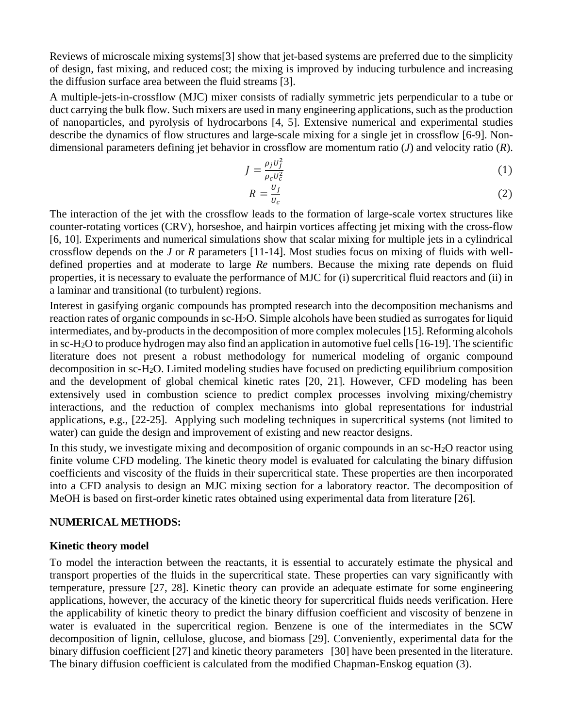Reviews of microscale mixing systems[3] show that jet-based systems are preferred due to the simplicity of design, fast mixing, and reduced cost; the mixing is improved by inducing turbulence and increasing the diffusion surface area between the fluid streams [3].

A multiple-jets-in-crossflow (MJC) mixer consists of radially symmetric jets perpendicular to a tube or duct carrying the bulk flow. Such mixers are used in many engineering applications, such asthe production of nanoparticles, and pyrolysis of hydrocarbons [4, 5]. Extensive numerical and experimental studies describe the dynamics of flow structures and large-scale mixing for a single jet in crossflow [6-9]. Nondimensional parameters defining jet behavior in crossflow are momentum ratio (*J*) and velocity ratio (*R*).

$$
J = \frac{\rho_j U_j^2}{\rho_c U_c^2} \tag{1}
$$

$$
R = \frac{U_j}{U_c} \tag{2}
$$

The interaction of the jet with the crossflow leads to the formation of large-scale vortex structures like counter-rotating vortices (CRV), horseshoe, and hairpin vortices affecting jet mixing with the cross-flow [6, 10]. Experiments and numerical simulations show that scalar mixing for multiple jets in a cylindrical crossflow depends on the *J* or *R* parameters [11-14]. Most studies focus on mixing of fluids with welldefined properties and at moderate to large *Re* numbers. Because the mixing rate depends on fluid properties, it is necessary to evaluate the performance of MJC for (i) supercritical fluid reactors and (ii) in a laminar and transitional (to turbulent) regions.

Interest in gasifying organic compounds has prompted research into the decomposition mechanisms and reaction rates of organic compounds in sc-H2O. Simple alcohols have been studied as surrogates for liquid intermediates, and by-products in the decomposition of more complex molecules [15]. Reforming alcohols in sc-H2O to produce hydrogen may also find an application in automotive fuel cells[16-19]. The scientific literature does not present a robust methodology for numerical modeling of organic compound decomposition in sc-H2O. Limited modeling studies have focused on predicting equilibrium composition and the development of global chemical kinetic rates [20, 21]. However, CFD modeling has been extensively used in combustion science to predict complex processes involving mixing/chemistry interactions, and the reduction of complex mechanisms into global representations for industrial applications, e.g., [22-25]. Applying such modeling techniques in supercritical systems (not limited to water) can guide the design and improvement of existing and new reactor designs.

In this study, we investigate mixing and decomposition of organic compounds in an sc-H2O reactor using finite volume CFD modeling. The kinetic theory model is evaluated for calculating the binary diffusion coefficients and viscosity of the fluids in their supercritical state. These properties are then incorporated into a CFD analysis to design an MJC mixing section for a laboratory reactor. The decomposition of MeOH is based on first-order kinetic rates obtained using experimental data from literature [26].

#### **NUMERICAL METHODS:**

#### **Kinetic theory model**

To model the interaction between the reactants, it is essential to accurately estimate the physical and transport properties of the fluids in the supercritical state. These properties can vary significantly with temperature, pressure [27, 28]. Kinetic theory can provide an adequate estimate for some engineering applications, however, the accuracy of the kinetic theory for supercritical fluids needs verification. Here the applicability of kinetic theory to predict the binary diffusion coefficient and viscosity of benzene in water is evaluated in the supercritical region. Benzene is one of the intermediates in the SCW decomposition of lignin, cellulose, glucose, and biomass [29]. Conveniently, experimental data for the binary diffusion coefficient [27] and kinetic theory parameters [30] have been presented in the literature. The binary diffusion coefficient is calculated from the modified Chapman-Enskog equation [\(3\)](#page-2-0).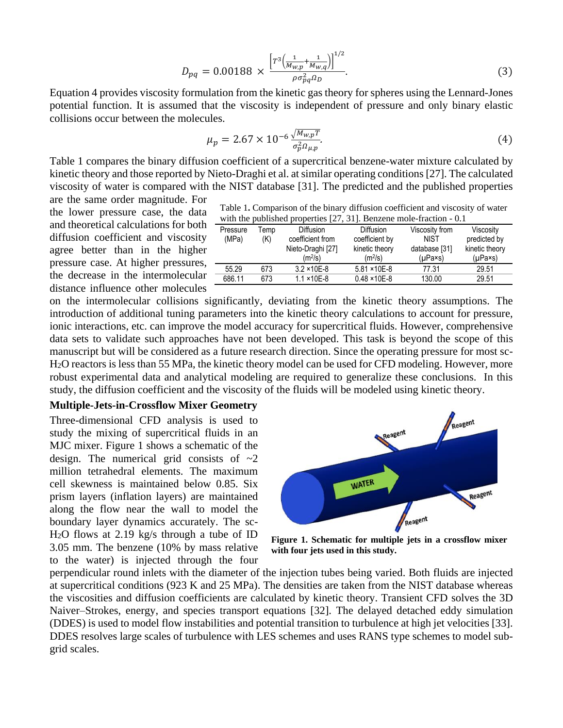$$
D_{pq} = 0.00188 \times \frac{\left[r^3 \left(\frac{1}{M_{W,p}} + \frac{1}{M_{W,q}}\right)\right]^{1/2}}{\rho \sigma_{pq}^2 a_D}.
$$
 (3)

Equation [4](#page-2-1) provides viscosity formulation from the kinetic gas theory for spheres using the Lennard-Jones potential function. It is assumed that the viscosity is independent of pressure and only binary elastic collisions occur between the molecules.

<span id="page-2-1"></span><span id="page-2-0"></span>
$$
\mu_p = 2.67 \times 10^{-6} \frac{\sqrt{M_{w,p}T}}{\sigma_p^2 \Omega_{\mu,p}}.\tag{4}
$$

[Table 1](#page-2-2) compares the binary diffusion coefficient of a supercritical benzene-water mixture calculated by kinetic theory and those reported by Nieto-Draghi et al. at similar operating conditions [27]. The calculated viscosity of water is compared with the NIST database [31]. The predicted and the published properties

are the same order magnitude. For the lower pressure case, the data and theoretical calculations for both diffusion coefficient and viscosity agree better than in the higher pressure case. At higher pressures, the decrease in the intermolecular distance influence other molecules

<span id="page-2-2"></span>Table 1**.** Comparison of the binary diffusion coefficient and viscosity of water with the published properties [27, 31]. Benzene mole-fraction - 0.1

| Pressure<br>(MPa) | ™emp<br>(K) | <b>Diffusion</b><br>coefficient from<br>Nieto-Draghi [27]<br>(m <sup>2</sup> /s) | <b>Diffusion</b><br>coefficient by<br>kinetic theory<br>(m <sup>2</sup> /s) | Viscosity from<br><b>NIST</b><br>database [31]<br>$(\mu$ Pa×s) | Viscosity<br>predicted by<br>kinetic theory<br>$(\mu$ Pa×s) |
|-------------------|-------------|----------------------------------------------------------------------------------|-----------------------------------------------------------------------------|----------------------------------------------------------------|-------------------------------------------------------------|
| 55.29             | 673         | $3.2 \times 10E - 8$                                                             | $5.81 \times 10E - 8$                                                       | 77.31                                                          | 29.51                                                       |
| 686.11            | 673         | $1.1 \times 10E - 8$                                                             | $0.48 \times 10E - 8$                                                       | 130.00                                                         | 29.51                                                       |

on the intermolecular collisions significantly, deviating from the kinetic theory assumptions. The introduction of additional tuning parameters into the kinetic theory calculations to account for pressure, ionic interactions, etc. can improve the model accuracy for supercritical fluids. However, comprehensive data sets to validate such approaches have not been developed. This task is beyond the scope of this manuscript but will be considered as a future research direction. Since the operating pressure for most sc-H2O reactors is less than 55 MPa, the kinetic theory model can be used for CFD modeling. However, more robust experimental data and analytical modeling are required to generalize these conclusions. In this study, the diffusion coefficient and the viscosity of the fluids will be modeled using kinetic theory.

#### **Multiple-Jets-in-Crossflow Mixer Geometry**

Three-dimensional CFD analysis is used to study the mixing of supercritical fluids in an MJC mixer. [Figure 1](#page-2-3) shows a schematic of the design. The numerical grid consists of  $\sim 2$ million tetrahedral elements. The maximum cell skewness is maintained below 0.85. Six prism layers (inflation layers) are maintained along the flow near the wall to model the boundary layer dynamics accurately. The sc-H2O flows at 2.19 kg/s through a tube of ID 3.05 mm. The benzene (10% by mass relative to the water) is injected through the four



<span id="page-2-3"></span>**Figure 1. Schematic for multiple jets in a crossflow mixer with four jets used in this study.**

perpendicular round inlets with the diameter of the injection tubes being varied. Both fluids are injected at supercritical conditions (923 K and 25 MPa). The densities are taken from the NIST database whereas the viscosities and diffusion coefficients are calculated by kinetic theory. Transient CFD solves the 3D Naiver–Strokes, energy, and species transport equations [32]. The delayed detached eddy simulation (DDES) is used to model flow instabilities and potential transition to turbulence at high jet velocities [33]. DDES resolves large scales of turbulence with LES schemes and uses RANS type schemes to model subgrid scales.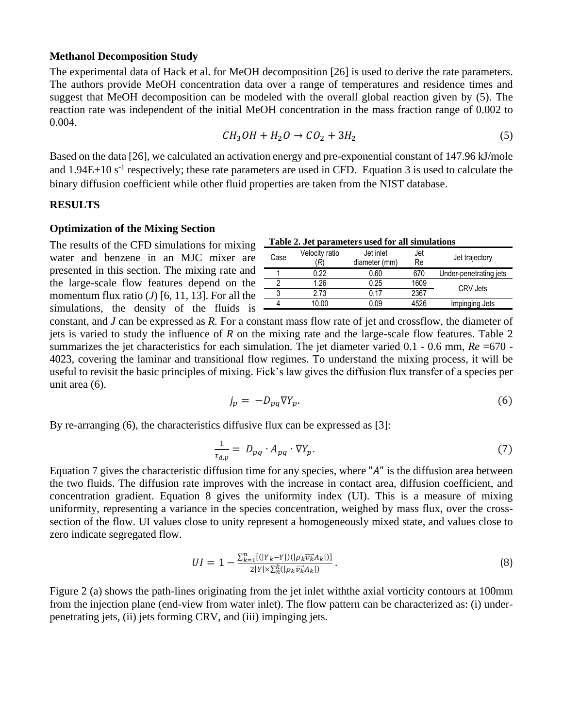#### **Methanol Decomposition Study**

The experimental data of Hack et al. for MeOH decomposition [26] is used to derive the rate parameters. The authors provide MeOH concentration data over a range of temperatures and residence times and suggest that MeOH decomposition can be modeled with the overall global reaction given by [\(5\)](#page-3-0). The reaction rate was independent of the initial MeOH concentration in the mass fraction range of 0.002 to 0.004.

$$
CH_3OH + H_2O \rightarrow CO_2 + 3H_2 \tag{5}
$$

Based on the data [26], we calculated an activation energy and pre-exponential constant of 147.96 kJ/mole and  $1.94E+10 s<sup>-1</sup>$  respectively; these rate parameters are used in CFD. Equation [3](#page-2-0) is used to calculate the binary diffusion coefficient while other fluid properties are taken from the NIST database.

#### **RESULTS**

#### **Optimization of the Mixing Section**

The results of the CFD simulations for mixing  $\overline{\phantom{a}}$ water and benzene in an MJC mixer are presented in this section. The mixing rate and the large-scale flow features depend on the momentum flux ratio  $(J)$  [6, 11, 13]. For all the simulations, the density of the fluids is -

<span id="page-3-1"></span><span id="page-3-0"></span>

| Table 2. Jet parameters used for all simulations |  |  |  |  |
|--------------------------------------------------|--|--|--|--|
|--------------------------------------------------|--|--|--|--|

| Case | Velocity ratio<br>R). | Jet inlet<br>diameter (mm) | Jet<br>Re | Jet trajectory         |  |
|------|-----------------------|----------------------------|-----------|------------------------|--|
|      | 0.22                  | 0.60                       | 670       | Under-penetrating jets |  |
|      | 1.26                  | 0.25                       | 1609      | CRV Jets               |  |
|      | 2.73                  | 0.17                       | 2367      |                        |  |
|      | 10.00                 | 0.O9                       | 4526      | Impinging Jets         |  |
|      |                       |                            |           |                        |  |

constant, and *J* can be expressed as *R.* For a constant mass flow rate of jet and crossflow, the diameter of jets is varied to study the influence of *R* on the mixing rate and the large-scale flow features. [Table 2](#page-3-1) summarizes the jet characteristics for each simulation. The jet diameter varied 0.1 - 0.6 mm,  $Re = 670$  -4023, covering the laminar and transitional flow regimes. To understand the mixing process, it will be useful to revisit the basic principles of mixing. Fick's law gives the diffusion flux transfer of a species per unit area [\(6\)](#page-3-2).

<span id="page-3-3"></span><span id="page-3-2"></span>
$$
j_p = -D_{pq} \nabla Y_p. \tag{6}
$$

By re-arranging [\(6\)](#page-3-2), the characteristics diffusive flux can be expressed as [3]:

<span id="page-3-4"></span>
$$
\frac{1}{\tau_{d,p}} = D_{pq} \cdot A_{pq} \cdot \nabla Y_p. \tag{7}
$$

Equation [7](#page-3-3) gives the characteristic diffusion time for any species, where " $A$ " is the diffusion area between the two fluids. The diffusion rate improves with the increase in contact area, diffusion coefficient, and concentration gradient. Equation [8](#page-3-4) gives the uniformity index (UI). This is a measure of mixing uniformity, representing a variance in the species concentration, weighed by mass flux, over the crosssection of the flow. UI values close to unity represent a homogeneously mixed state, and values close to zero indicate segregated flow.

$$
UI = 1 - \frac{\sum_{k=1}^{n} [(|Y_k - Y|)(|\rho_k \overrightarrow{v_k} A_k|)]}{2|Y| \times \sum_{k=1}^{k} (|\rho_k \overrightarrow{v_k} A_k|)}.
$$
\n
$$
(8)
$$

[Figure 2](#page-4-0) (a) shows the path-lines originating from the jet inlet withthe axial vorticity contours at 100mm from the injection plane (end-view from water inlet). The flow pattern can be characterized as: (i) underpenetrating jets, (ii) jets forming CRV, and (iii) impinging jets.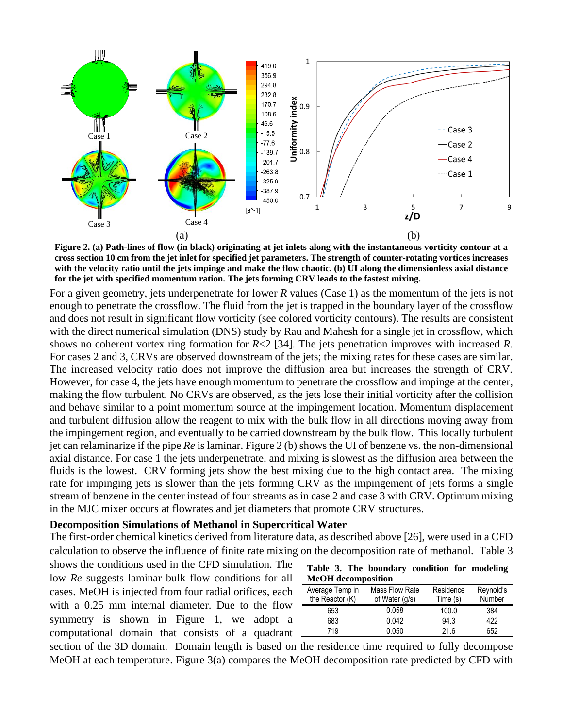

<span id="page-4-0"></span>**Figure 2. (a) Path-lines of flow (in black) originating at jet inlets along with the instantaneous vorticity contour at a cross section 10 cm from the jet inlet for specified jet parameters. The strength of counter-rotating vortices increases with the velocity ratio until the jets impinge and make the flow chaotic. (b) UI along the dimensionless axial distance for the jet with specified momentum ration. The jets forming CRV leads to the fastest mixing.**

For a given geometry, jets underpenetrate for lower *R* values (Case 1) as the momentum of the jets is not enough to penetrate the crossflow. The fluid from the jet is trapped in the boundary layer of the crossflow and does not result in significant flow vorticity (see colored vorticity contours). The results are consistent with the direct numerical simulation (DNS) study by Rau and Mahesh for a single jet in crossflow, which shows no coherent vortex ring formation for *R*<2 [34]. The jets penetration improves with increased *R*. For cases 2 and 3, CRVs are observed downstream of the jets; the mixing rates for these cases are similar. The increased velocity ratio does not improve the diffusion area but increases the strength of CRV. However, for case 4, the jets have enough momentum to penetrate the crossflow and impinge at the center, making the flow turbulent. No CRVs are observed, as the jets lose their initial vorticity after the collision and behave similar to a point momentum source at the impingement location. Momentum displacement and turbulent diffusion allow the reagent to mix with the bulk flow in all directions moving away from the impingement region, and eventually to be carried downstream by the bulk flow. This locally turbulent jet can relaminarize if the pipe *Re* is laminar. [Figure 2](#page-4-0) (b) shows the UI of benzene vs. the non-dimensional axial distance. For case 1 the jets underpenetrate, and mixing is slowest as the diffusion area between the fluids is the lowest. CRV forming jets show the best mixing due to the high contact area. The mixing rate for impinging jets is slower than the jets forming CRV as the impingement of jets forms a single stream of benzene in the center instead of four streams as in case 2 and case 3 with CRV. Optimum mixing in the MJC mixer occurs at flowrates and jet diameters that promote CRV structures.

#### **Decomposition Simulations of Methanol in Supercritical Water**

The first-order chemical kinetics derived from literature data, as described above [26], were used in a CFD calculation to observe the influence of finite rate mixing on the decomposition rate of methanol. [Table 3](#page-4-1)

shows the conditions used in the CFD simulation. The low *Re* suggests laminar bulk flow conditions for all cases. MeOH is injected from four radial orifices, each with a 0.25 mm internal diameter. Due to the flow symmetry is shown in Figure 1, we adopt a computational domain that consists of a quadrant

<span id="page-4-1"></span>

|                           |  |  | Table 3. The boundary condition for modeling |  |  |  |
|---------------------------|--|--|----------------------------------------------|--|--|--|
| <b>MeOH</b> decomposition |  |  |                                              |  |  |  |

| Average Temp in<br>the Reactor (K) | Mass Flow Rate<br>of Water (g/s) | Residence<br>Time (s) | Reynold's<br>Number |
|------------------------------------|----------------------------------|-----------------------|---------------------|
|                                    |                                  |                       |                     |
| 653                                | 0.058                            | 100.0                 | 384                 |
| 683                                | 0.042                            | 94.3                  | 422                 |
| 719                                | 0.050                            | 21 R                  | 652                 |

section of the 3D domain. Domain length is based on the residence time required to fully decompose MeOH at each temperature. [Figure 3\(](#page-5-0)a) compares the MeOH decomposition rate predicted by CFD with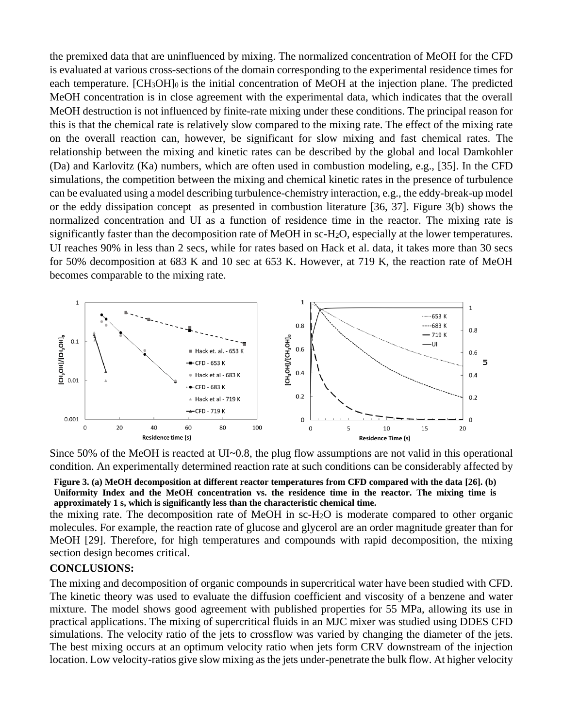the premixed data that are uninfluenced by mixing. The normalized concentration of MeOH for the CFD is evaluated at various cross-sections of the domain corresponding to the experimental residence times for each temperature. [CH<sub>3</sub>OH]<sub>0</sub> is the initial concentration of MeOH at the injection plane. The predicted MeOH concentration is in close agreement with the experimental data, which indicates that the overall MeOH destruction is not influenced by finite-rate mixing under these conditions. The principal reason for this is that the chemical rate is relatively slow compared to the mixing rate. The effect of the mixing rate on the overall reaction can, however, be significant for slow mixing and fast chemical rates. The relationship between the mixing and kinetic rates can be described by the global and local Damkohler (Da) and Karlovitz (Ka) numbers, which are often used in combustion modeling, e.g., [35]. In the CFD simulations, the competition between the mixing and chemical kinetic rates in the presence of turbulence can be evaluated using a model describing turbulence-chemistry interaction, e.g., the eddy-break-up model or the eddy dissipation concept as presented in combustion literature [36, 37]. [Figure 3\(](#page-5-0)b) shows the normalized concentration and UI as a function of residence time in the reactor. The mixing rate is significantly faster than the decomposition rate of MeOH in sc-H2O, especially at the lower temperatures. UI reaches 90% in less than 2 secs, while for rates based on Hack et al. data, it takes more than 30 secs for 50% decomposition at 683 K and 10 sec at 653 K. However, at 719 K, the reaction rate of MeOH becomes comparable to the mixing rate.



Since 50% of the MeOH is reacted at UI~0.8, the plug flow assumptions are not valid in this operational condition. An experimentally determined reaction rate at such conditions can be considerably affected by

#### <span id="page-5-0"></span>**Figure 3. (a) MeOH decomposition at different reactor temperatures from CFD compared with the data [26]. (b) Uniformity Index and the MeOH concentration vs. the residence time in the reactor. The mixing time is approximately 1 s, which is significantly less than the characteristic chemical time.**

the mixing rate. The decomposition rate of MeOH in sc-H2O is moderate compared to other organic molecules. For example, the reaction rate of glucose and glycerol are an order magnitude greater than for MeOH [29]. Therefore, for high temperatures and compounds with rapid decomposition, the mixing section design becomes critical.

## **CONCLUSIONS:**

The mixing and decomposition of organic compounds in supercritical water have been studied with CFD. The kinetic theory was used to evaluate the diffusion coefficient and viscosity of a benzene and water mixture. The model shows good agreement with published properties for 55 MPa, allowing its use in practical applications. The mixing of supercritical fluids in an MJC mixer was studied using DDES CFD simulations. The velocity ratio of the jets to crossflow was varied by changing the diameter of the jets. The best mixing occurs at an optimum velocity ratio when jets form CRV downstream of the injection location. Low velocity-ratios give slow mixing as the jets under-penetrate the bulk flow. At higher velocity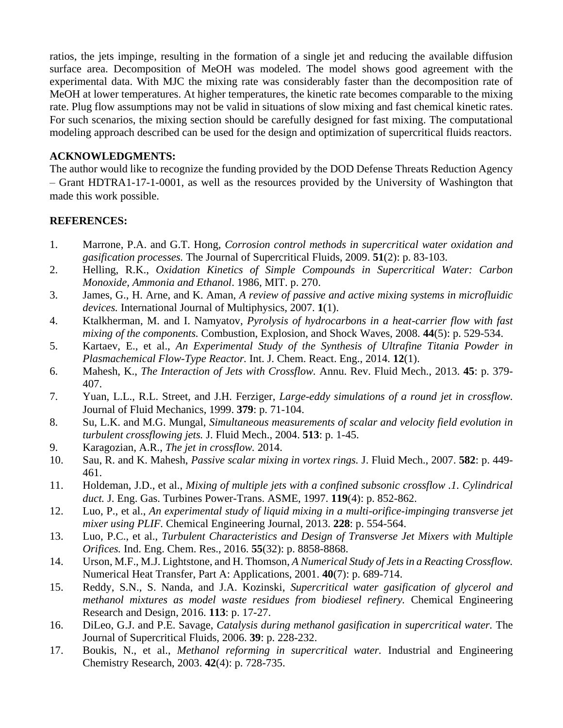ratios, the jets impinge, resulting in the formation of a single jet and reducing the available diffusion surface area. Decomposition of MeOH was modeled. The model shows good agreement with the experimental data. With MJC the mixing rate was considerably faster than the decomposition rate of MeOH at lower temperatures. At higher temperatures, the kinetic rate becomes comparable to the mixing rate. Plug flow assumptions may not be valid in situations of slow mixing and fast chemical kinetic rates. For such scenarios, the mixing section should be carefully designed for fast mixing. The computational modeling approach described can be used for the design and optimization of supercritical fluids reactors.

## **ACKNOWLEDGMENTS:**

The author would like to recognize the funding provided by the DOD Defense Threats Reduction Agency – Grant HDTRA1-17-1-0001, as well as the resources provided by the University of Washington that made this work possible.

## **REFERENCES:**

- 1. Marrone, P.A. and G.T. Hong, *Corrosion control methods in supercritical water oxidation and gasification processes.* The Journal of Supercritical Fluids, 2009. **51**(2): p. 83-103.
- 2. Helling, R.K., *Oxidation Kinetics of Simple Compounds in Supercritical Water: Carbon Monoxide, Ammonia and Ethanol*. 1986, MIT. p. 270.
- 3. James, G., H. Arne, and K. Aman, *A review of passive and active mixing systems in microfluidic devices.* International Journal of Multiphysics, 2007. **1**(1).
- 4. Ktalkherman, M. and I. Namyatov, *Pyrolysis of hydrocarbons in a heat-carrier flow with fast mixing of the components.* Combustion, Explosion, and Shock Waves, 2008. **44**(5): p. 529-534.
- 5. Kartaev, E., et al., *An Experimental Study of the Synthesis of Ultrafine Titania Powder in Plasmachemical Flow-Type Reactor.* Int. J. Chem. React. Eng., 2014. **12**(1).
- 6. Mahesh, K., *The Interaction of Jets with Crossflow.* Annu. Rev. Fluid Mech., 2013. **45**: p. 379- 407.
- 7. Yuan, L.L., R.L. Street, and J.H. Ferziger, *Large-eddy simulations of a round jet in crossflow.* Journal of Fluid Mechanics, 1999. **379**: p. 71-104.
- 8. Su, L.K. and M.G. Mungal, *Simultaneous measurements of scalar and velocity field evolution in turbulent crossflowing jets.* J. Fluid Mech., 2004. **513**: p. 1-45.
- 9. Karagozian, A.R., *The jet in crossflow.* 2014.
- 10. Sau, R. and K. Mahesh, *Passive scalar mixing in vortex rings.* J. Fluid Mech., 2007. **582**: p. 449- 461.
- 11. Holdeman, J.D., et al., *Mixing of multiple jets with a confined subsonic crossflow .1. Cylindrical duct.* J. Eng. Gas. Turbines Power-Trans. ASME, 1997. **119**(4): p. 852-862.
- 12. Luo, P., et al., *An experimental study of liquid mixing in a multi-orifice-impinging transverse jet mixer using PLIF.* Chemical Engineering Journal, 2013. **228**: p. 554-564.
- 13. Luo, P.C., et al., *Turbulent Characteristics and Design of Transverse Jet Mixers with Multiple Orifices.* Ind. Eng. Chem. Res., 2016. **55**(32): p. 8858-8868.
- 14. Urson, M.F., M.J. Lightstone, and H. Thomson, *A Numerical Study of Jets in a Reacting Crossflow.* Numerical Heat Transfer, Part A: Applications, 2001. **40**(7): p. 689-714.
- 15. Reddy, S.N., S. Nanda, and J.A. Kozinski, *Supercritical water gasification of glycerol and methanol mixtures as model waste residues from biodiesel refinery.* Chemical Engineering Research and Design, 2016. **113**: p. 17-27.
- 16. DiLeo, G.J. and P.E. Savage, *Catalysis during methanol gasification in supercritical water.* The Journal of Supercritical Fluids, 2006. **39**: p. 228-232.
- 17. Boukis, N., et al., *Methanol reforming in supercritical water.* Industrial and Engineering Chemistry Research, 2003. **42**(4): p. 728-735.